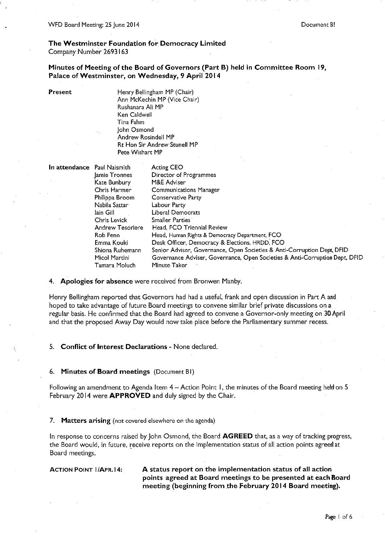The Westminster Foundation for Democracy Limited Company Number 2693163

Minutes of Meeting of the Board of Governors (Part B) held in Committee Room 19, Palace of Westminster, on Wednesday, 9 April 2014

Present

Henry Bellingham MP (Chair) Ann McKechin MP (Vice Chair) Rushanara Ali MP Ken Caldwell Tina Fahm John Osmond Andrew Rosindell MP **Rt Hon Sir Andrew Stunell MP** Pete Wishart MP

| In attendance Paul Naismith |                         | <b>Acting CEO</b>                                                           |
|-----------------------------|-------------------------|-----------------------------------------------------------------------------|
|                             | Jamie Tronnes           | Director of Programmes                                                      |
|                             | Kate Bunbury            | M&E Adviser                                                                 |
|                             | Chris Harmer            | <b>Communications Manager</b>                                               |
|                             | Philippa Broom          | Conservative Party                                                          |
|                             | Nabila Sattar           | Labour Party                                                                |
|                             | lain Gill.              | Liberal Democrats                                                           |
|                             | Chris Levick            | <b>Smaller Parties</b>                                                      |
|                             | <b>Andrew Tesoriere</b> | Head, FCO Triennial Review                                                  |
|                             | Rob Fenn                | Head, Human Rights & Democracy Department, FCO                              |
|                             | Emma Kouki              | Desk Officer, Democracy & Elections, HRDD, FCO                              |
|                             | Shiona Ruhemann         | Senior Adviser, Governance, Open Societies & Anti-Corruption Dept, DFID     |
|                             | Micol Martini           | Governance Adviser, Governance, Open Societies & Anti-Corruption Dept, DFID |
|                             | Tamara Moluch           | Minute Taker                                                                |

4. Apologies for absence were received from Bronwen Manby.

Henry Bellingham reported that Governors had had a useful, frank and open discussion in Part A and hoped to take advantage of future Board meetings to convene similar brief private discussions on a regular basis. He confirmed that the Board had agreed to convene a Governor-only meeting on 30 April and that the proposed Away Day would now take place before the Parliamentary summer recess.

5. Conflict of Interest Declarations - None declared.

6. Minutes of Board meetings (Document BI)

Following an amendment to Agenda Item 4 – Action Point 1, the minutes of the Board meeting held on 5 February 2014 were APPROVED and duly signed by the Chair.

7. Matters arising (not covered elsewhere on the agenda)

In response to concerns raised by John Osmond, the Board AGREED that, as a way of tracking progress, the Board would, in future, receive reports on the implementation status of all action points agreed at Board meetings.

**ACTION POINT 1/APR.14:** 

A status report on the implementation status of all action points agreed at Board meetings to be presented at each Board meeting (beginning from the February 2014 Board meeting).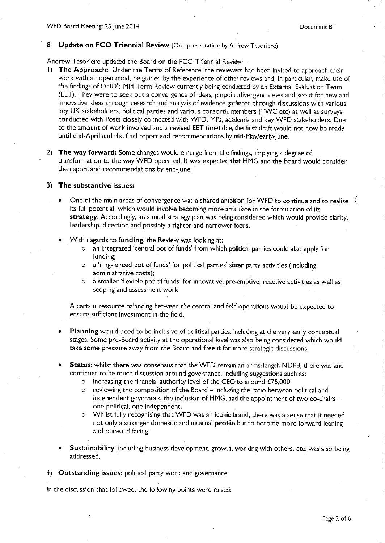#### 8. Update on FCO Triennial Review (Oral presentation by Andrew Tesoriere)

Andrew Tesoriere updated the Board on the FCO Triennial Review;

- 1) The Approach: Under the Terms of Reference, the reviewers had been invited to approach their work with an open mind, be guided by the experience of other reviews and, in particular, make use of the findings of DFID's Mid-Term Review currently being conducted by an External Evaluation Team (EET). They were to seek out a convergence of ideas, pinpoint divergent views and scout for new and innovative ideas through research and analysis of evidence gathered through discussions with various key UK stakeholders, political parties and various consortia members (TWC etc) as well as surveys conducted with Posts closely connected with WFD, MPs, academia and key WFD stakeholders. Due to the amount of work involved and a revised EET timetable, the first draft would not now be ready until end-April and the final report and recommendations by mid-May/early-June.
- 2) The way forward: Some changes would emerge from the findings, implying a degree of transformation to the way WFD operated. It was expected that HMG and the Board would consider the report and recommendations by end-lune.

#### 3) The substantive issues:

- One of the main areas of convergence was a shared ambition for WFD to continue and to realise its full potential, which would involve becoming more articulate in the formulation of its strategy. Accordingly, an annual strategy plan was being considered which would provide clarity, leadership, direction and possibly a tighter and narrower focus.
- With regards to funding, the Review was looking at:
	- an integrated 'central pot of funds' from which political parties could also apply for  $\circ$ funding:
	- a 'ring-fenced pot of funds' for political parties' sister party activities (including  $\circ$ administrative costs);
	- a smaller 'flexible pot of funds' for innovative, pre-emptive, reactive activities as well as  $\circ$ scoping and assessment work.

A certain resource balancing between the central and field operations would be expected to ensure sufficient investment in the field.

- Planning would need to be inclusive of political parties, including at the very early conceptual stages. Some pre-Board activity at the operational level was also being considered which would take some pressure away from the Board and free it for more strategic discussions,
- **Status:** whilst there was consensus that the WFD remain an arms-length NDPB, there was and continues to be much discussion around governance, including suggestions such as:
	- o increasing the financial authority level of the CEO to around  $£75,000;$
	- reviewing the composition of the Board including the ratio between political and  $\Omega$ independent governors, the inclusion of HMG, and the appointment of two co-chairs one political, one independent.
	- Whilst fully recognising that WFD was an iconic brand, there was a sense that it needed not only a stronger domestic and internal profile but to become more forward leaning and outward facing.
- Sustainability, including business development, growth, working with others, etc. was also being addressed.

4) Outstanding issues: political party work and governance.

In the discussion that followed, the following points were raised: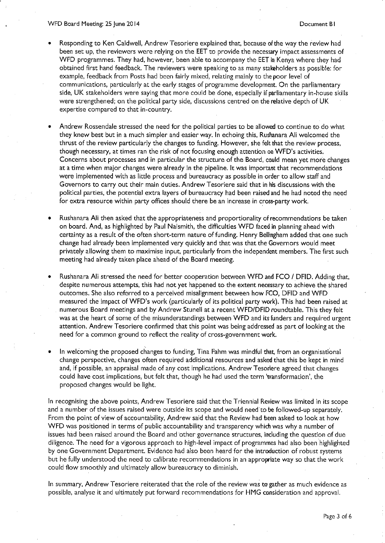- Responding to Ken Caldwell, Andrew Tesoriere explained that, because of the way the review had been set up, the reviewers were relying on the EET to provide the necessary impact assessments of WFD programmes. They had, however, been able to accompany the EET in Kenya where they had obtained first hand feedback. The reviewers were speaking to as many stakeholders as possible: for example, feedback from Posts had been fairly mixed, relating mainly to the poor level of communications, particularly at the early stages of programme development. On the parliamentary side, UK stakeholders were saying that more could be done, especially if parliamentary in-house skills were strengthened; on the political party side, discussions centred on the relative depth of UK expertise compared to that in-country.
- Andrew Rossendale stressed the need for the political parties to be allowed to continue to do what they knew best but in a much simpler and easier way. In echoing this, Rushanara Ali welcomed the thrust of the review particularly the changes to funding. However, she felt that the review process, though necessary, at times ran the risk of not focusing enough attention on WFD's activities. Concerns about processes and in particular the structure of the Board, could mean yet more changes at a time when major changes were already in the pipeline. It was important that recommendations were implemented with as little process and bureaucracy as possible in order to allow staff and Governors to carry out their main duties. Andrew Tesoriere said that in his discussions with the political parties, the potential extra layers of bureaucracy had been raised and he had noted the need for extra resource within party offices should there be an increase in cross-party work.
- Rushanara Ali then asked that the appropriateness and proportionality of recommendations be taken on board. And, as highlighted by Paul Naismith, the difficulties WFD faced in planning ahead with certainty as a result of the often short-term nature of funding. Henry Bellingham added that one such change had already been implemented very quickly and that was that the Governors would meet privately allowing them to maximise input, particularly from the independent members. The first such meeting had already taken place ahead of the Board meeting.
- Rushanara Ali stressed the need for better cooperation between WFD and FCO / DFID. Adding that, despite numerous attempts, this had not yet happened to the extent necessary to achieve the shared outcomes. She also referred to a perceived misalignment between how FCO, DFID and WFD measured the impact of WFD's work (particularly of its political party work). This had been raised at numerous Board meetings and by Andrew Stunell at a recent WFD/DFID roundtable. This they felt was at the heart of some of the misunderstandings between WFD and its funders and required urgent attention. Andrew Tesoriere confirmed that this point was being addressed as part of looking at the need for a common ground to reflect the reality of cross-government work.
- In welcoming the proposed changes to funding, Tina Fahm was mindful that, from an organisational change perspective, changes often required additional resources and asked that this be kept in mind and, if possible, an appraisal made of any cost implications. Andrew Tesoriere agreed that changes could have cost implications, but felt that, though he had used the term 'transformation', the proposed changes would be light.

In recognising the above points, Andrew Tesoriere said that the Triennial Review was limited in its scope and a number of the issues raised were outside its scope and would need to be followed-up separately. From the point of view of accountability, Andrew said that the Review had been asked to look at how WFD was positioned in terms of public accountability and transparency which was why a number of issues had been raised around the Board and other governance structures, including the question of due diligence. The need for a vigorous approach to high-level impact of programmes had also been highlighted by one Government Department. Evidence had also been heard for the introduction of robust systems but he fully understood the need to calibrate recommendations in an appropriate way so that the work could flow smoothly and ultimately allow bureaucracy to diminish.

In summary, Andrew Tesoriere reiterated that the role of the review was to gather as much evidence as possible, analyse it and ultimately put forward recommendations for HMG consideration and approval.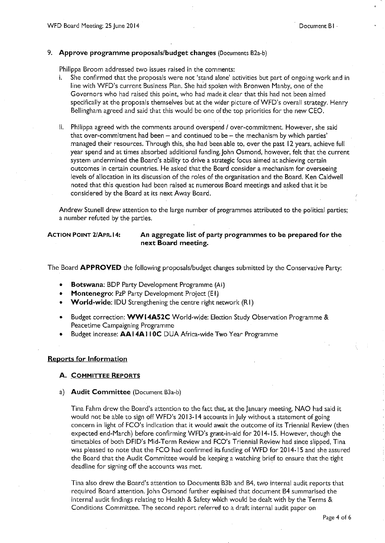#### 9. Approve programme proposals/budget changes (Documents B2a-b)

Philippa Broom addressed two issues raised in the comments:

- i. She confirmed that the proposals were not 'stand alone' activities but part of ongoing work and in line with WFD's current Business Plan. She had spoken with Bronwen Manby, one of the Governors who had raised this point, who had made it clear that this had not been aimed specifically at the proposals themselves but at the wider picture of WFD's overall strategy. Henry Bellingham agreed and said that this would be one of the top priorities for the new CEO.
- ii. Philippa agreed with the comments around overspend / over-commitment. However, she said that over-commitment had been  $-$  and continued to be  $-$  the mechanism by which parties' managed their resources. Through this, she had been able to, over the past 12 years, achieve full year spend and at times absorbed additional funding. John Osmond, however, felt that the current system undermined the Board's ability to drive a strategic focus aimed at achieving certain outcomes in certain countries. He asked that the Board consider a mechanism for overseeing levels of allocation in its discussion of the roles of the organisation and the Board. Ken Caldwell noted that this question had been raised at numerous Board meetings and asked that it be considered by the Board at its next Away Board.

Andrew Stunell drew attention to the large number of programmes attributed to the political parties; a number refuted by the parties.

**ACTION POINT 2/APR.14:** 

#### An aggregate list of party programmes to be prepared for the next Board meeting.

The Board APPROVED the following proposals/budget changes submitted by the Conservative Party:

- Botswana: BDP Party Development Programme (AI)
- **Montenegro: PzP Party Development Project (E1)**
- **World-wide: IDU Strengthening the centre right network (R1)**
- Budget correction: WW14A52C World-wide: Election Study Observation Programme & Peacetime Campaigning Programme
- Budget increase: AAI4AI10C DUA Africa-wide Two Year Programme

#### **Reports for Information**

#### A. COMMITTEE REPORTS

a) Audit Committee (Document B3a-b)

Tina Fahm drew the Board's attention to the fact that, at the January meeting, NAO had said it would not be able to sign off WFD's 2013-14 accounts in July without a statement of going concern in light of FCO's indication that it would await the outcome of its Triennial Review (then expected end-March) before confirming WFD's grant-in-aid for 2014-15. However, though the timetables of both DFID's Mid-Term Review and FCO's Triennial Review had since slipped, Tina was pleased to note that the FCO had confirmed its funding of WFD for 2014-15 and she assured the Board that the Audit Committee would be keeping a watching brief to ensure that the tight deadline for signing off the accounts was met.

Tina also drew the Board's attention to Documents B3b and B4, two internal audit reports that required Board attention. John Osmond further explained that document B4 summarised the internal audit findings relating to Health & Safety which would be dealt with by the Terms & Conditions Committee. The second report referred to a draft internal audit paper on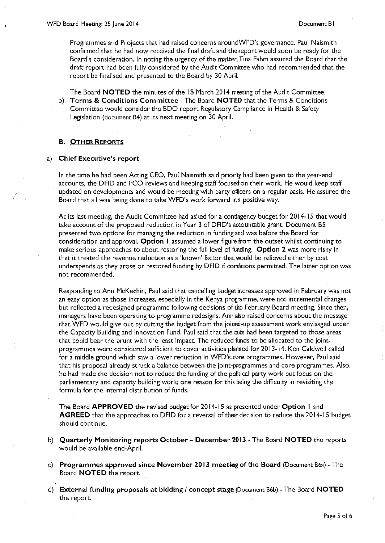Programmes and Projects that had raised concerns around WFD's governance. Paul Naismith confirmed that he had now received the final draft and the report would soon be ready for the Board's consideration. In noting the urgency of the matter, Tina Fahm assured the Board that the draft report had been fully considered by the Audit Committee who had recommended that the report be finalised and presented to the Board by 30 April.

The Board **NOTED** the minutes of the 18 March 2014 meeting of the Audit Committee. b) Terms & Conditions Committee - The Board NOTED that the Terms & Conditions Committee would consider the BDO report Regulatory Compliance in Health & Safety Legislation (document B4) at its next meeting on 30 April.

#### **B. OTHER REPORTS**

#### a) Chief Executive's report

In the time he had been Acting CEO, Paul Naismith said priority had been given to the year-end accounts, the DFID and FCO reviews and keeping staff focused on their work. He would keep staff updated on developments and would be meeting with party officers on a regular basis. He assured the Board that all was being done to take WFD's work forward in a positive way.

At its last meeting, the Audit Committee had asked for a contingency budget for 2014-15 that would take account of the proposed reduction in Year 3 of DFID's accountable grant. Document B5 presented two options for managing the reduction in funding and was before the Board for consideration and approval. Option 1 assumed a lower figure from the outset whilst continuing to make serious approaches to about restoring the full level of funding. Option 2 was more risky in that it treated the revenue reduction as a 'known' factor that would be relieved either by cost underspends as they arose or restored funding by DFID if conditions permitted. The latter option was not recommended.

Responding to Ann McKechin, Paul said that cancelling budget increases approved in February was not an easy option as those increases, especially in the Kenya programme, were not incremental changes but reflected a redesigned programme following decisions of the February Board meeting. Since then, managers have been operating to programme redesigns. Ann also raised concerns about the message that WFD would give out by cutting the budget from the joined-up assessment work envisaged under the Capacity Building and Innovation Fund. Paul said that the cuts had been targeted to those areas that could bear the brunt with the least impact. The reduced funds to be allocated to the jointprogrammes were considered sufficient to cover activities planned for 2013-14. Ken Caldwell called for a middle ground which saw a lower reduction in WFD's core programmes. However, Paul said that his proposal already struck a balance between the joint-programmes and core programmes. Also, he had made the decision not to reduce the funding of the political party work but focus on the parliamentary and capacity building work; one reason for this being the difficulty in revisiting the formula for the internal distribution of funds.

The Board APPROVED the revised budget for 2014-15 as presented under Option 1 and AGREED that the approaches to DFID for a reversal of their decision to reduce the 2014-15 budget should continue.

- b) Quarterly Monitoring reports October December 2013 The Board NOTED the reports would be available end-April.
- c) Programmes approved since November 2013 meeting of the Board (Document B6a) The Board **NOTED** the report.
- d) External funding proposals at bidding / concept stage (Document B6b) The Board NOTED the report.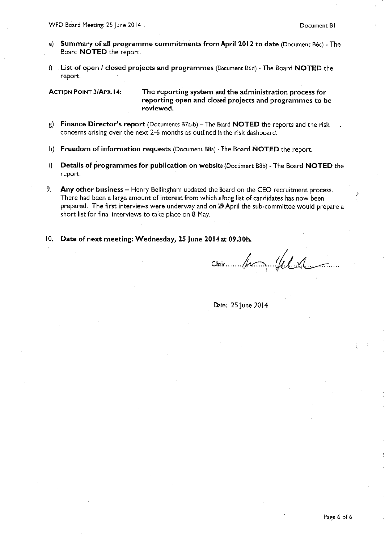- e) Summary of all programme commitments from April 2012 to date (Document B6c) The Board **NOTED** the report.
- f) List of open / closed projects and programmes (Decument B6d) The Board NOTED the report.

**ACTION POINT 3/APR.14:** 

The reporting system and the administration process for reporting open and closed projects and programmes to be reviewed.

- g) Finance Director's report (Documents B7a-b) The Board NOTED the reports and the risk concerns arising over the next 2-6 months as outlined in the risk dashboard.
- h) Freedom of information requests (Document B8a) The Board NOTED the report.
- $i)$ **Details of programmes for publication on website (Document B8b) - The Board NOTED the** report.
- 9. Any other business – Henry Bellingham updated the Board on the CEO recruitment process. There had been a large amount of interest from which a long list of candidates has now been prepared. The first interviews were underway and on 29 April the sub-committee would prepare a short list for final interviews to take place on 8 May.
- 10. Date of next meeting: Wednesday, 25 June 2014 at 09.30h.

Chair James Jel 1.

Date: 25 June 2014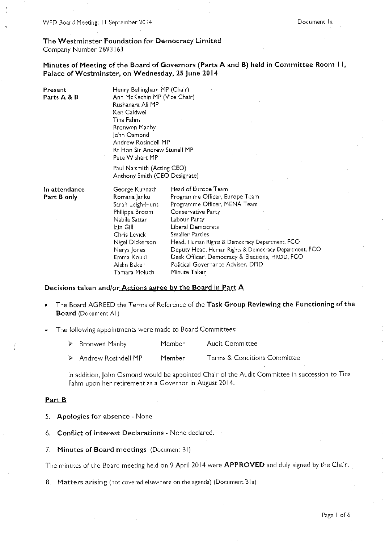WFD Board Meeting: 11 September 2014

# The Westminster Foundation for Democracy Limited

Company Number 2693163

Minutes of Meeting of the Board of Governors (Parts A and B) held in Committee Room II, Palace of Westminster, on Wednesday, 25 June 2014

| Present<br>Parts A & B       | Henry Bellingham MP (Chair)<br>Ann McKechin MP (Vice Chair)<br>Rushanara Ali MP<br>Ken Caldwell<br>Tina Fahm<br>Bronwen Manby<br>John Osmond<br>Andrew Rosindell MP<br>Rt Hon Sir Andrew Stunell MP<br>Pete Wishart MP |                                                                                                                                                                                                                                                                                                                                                                                                      |
|------------------------------|------------------------------------------------------------------------------------------------------------------------------------------------------------------------------------------------------------------------|------------------------------------------------------------------------------------------------------------------------------------------------------------------------------------------------------------------------------------------------------------------------------------------------------------------------------------------------------------------------------------------------------|
|                              | Paul Naismith (Acting CEO)<br>Anthony Smith (CEO Designate)                                                                                                                                                            |                                                                                                                                                                                                                                                                                                                                                                                                      |
| In attendance<br>Part B only | George Kunnath<br>Romana Janku<br>Sarah Leigh-Hunt<br>Philippa Broom<br>Nabila Sattar<br>lain Gill<br>Chris Levick<br>Nigel Dickerson<br>Nerys Jones<br>Emma Kouki<br>Aislin Baker<br>Tamara Moluch                    | Head of Europe Team<br>Programme Officer, Europe Team<br>Programme Officer, MENA Team<br>Conservative Party<br>Labour Party<br><b>Liberal Democrats</b><br><b>Smaller Parties</b><br>Head, Human Rights & Democracy Department, FCO<br>Deputy Head, Human Rights & Democracy Department, FCO<br>Desk Officer, Democracy & Elections, HRDD, FCO<br>Political Governance Adviser, DFID<br>Minute Taker |

#### Decisions taken and/or Actions agree by the Board in Part A

- The Board AGREED the Terms of Reference of the Task Group Reviewing the Functioning of the **Board** (Document AI)
- The following appointments were made to Board Committees:

| $\triangleright$ Bronwen Manby | Member | <b>Audit Committee</b> |  |
|--------------------------------|--------|------------------------|--|
|                                |        |                        |  |

 $\blacktriangleright$ Andrew Rosindell MP Member Terms & Conditions Committee

In addition, John Osmond would be appointed Chair of the Audit Committee in succession to Tina Fahm upon her retirement as a Governor in August 2014.

#### Part B

- 5. Apologies for absence None
- 6. Conflict of Interest Declarations None declared.
- 7. Minutes of Board meetings (Document BI)

The minutes of the Board meeting held on 9 April 2014 were APPROVED and duly signed by the Chair.

8. Matters arising (not covered elsewhere on the agenda) (Document Bla)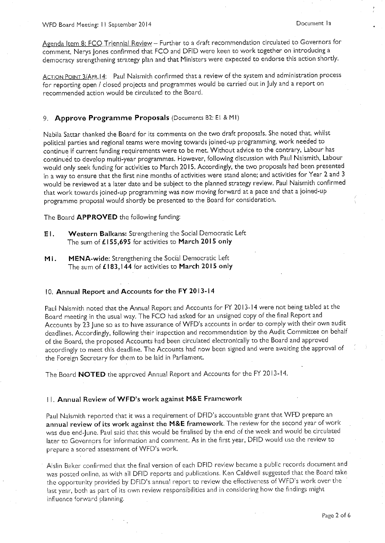WFD Board Meeting: 11 September 2014

Agenda Item 8: FCO Triennial Review - Further to a draft recommendation circulated to Governors for comment, Nerys Jones confirmed that FCO and DFID were keen to work together on introducing a democracy strengthening strategy plan and that Ministers were expected to endorse this action shortly.

ACTION POINT 3/APR.14: Paul Naismith confirmed that a review of the system and administration process for reporting open / closed projects and programmes would be carried out in July and a report on recommended action would be circulated to the Board.

#### 9. Approve Programme Proposals (Documents B2: E! & MI)

Nabila Sattar thanked the Board for its comments on the two draft proposals. She noted that, whilst political parties and regional teams were moving towards joined-up programming, work needed to continue if current funding requirements were to be met. Without advice to the contrary, Labour has continued to develop multi-year programmes. However, following discussion with Paul Naismith, Labour would only seek funding for activities to March 2015. Accordingly, the two proposals had been presented in a way to ensure that the first nine months of activities were stand alone; and activities for Year 2 and 3 would be reviewed at a later date and be subject to the planned strategy review. Paul Naismith confirmed that work towards joined-up programming was now moving forward at a pace and that a joined-up programme proposal would shortly be presented to the Board for consideration.

The Board APPROVED the following funding:

- Western Balkans: Strengthening the Social Democratic Left  $E1.$ The sum of £155,695 for activities to March 2015 only
- MENA-wide: Strengthening the Social Democratic Left MI. The sum of £183,144 for activities to March 2015 only

#### 10. Annual Report and Accounts for the FY 2013-14

Paul Naismith noted that the Annual Report and Accounts for FY 2013-14 were not being tabled at the Board meeting in the usual way. The FCO had asked for an unsigned copy of the final Report and Accounts by 23 June so as to have assurance of WFD's accounts in order to comply with their own audit deadlines. Accordingly, following their inspection and recommendation by the Audit Committee on behalf of the Board, the proposed Accounts had been circulated electronically to the Board and approved accordingly to meet this deadline. The Accounts had now been signed and were awaiting the approval of the Foreign Secretary for them to be laid in Parliament.

The Board NOTED the approved Annual Report and Accounts for the FY 2013-14.

#### 11. Annual Review of WFD's work against M&E Framework

Paul Naismith reported that it was a requirement of DFID's accountable grant that WFD prepare an annual review of its work against the M&E framework. The review for the second year of work was due end-June. Paul said that this would be finalised by the end of the week and would be circulated later to Governors for information and comment. As in the first year, DFID would use the review to prepare a scored assessment of WFD's work.

Aislin Baker confirmed that the final version of each DFID review became a public records document and was posted online, as with all DFID reports and publications. Ken Caldwell suggested that the Board take the opportunity provided by DFID's annual report to review the effectiveness of WFD's work over the last year, both as part of its own review responsibilities and in considering how the findings might influence forward planning.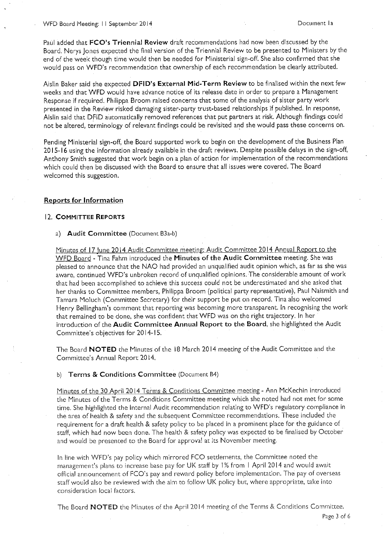Paul added that FCO's Triennial Review draft recommendations had now been discussed by the Board. Nerys Jones expected the final version of the Triennial Review to be presented to Ministers by the end of the week though time would then be needed for Ministerial sign-off. She also confirmed that she would pass on WFD's recommendation that ownership of each recommendation be clearly attributed.

Aislin Baker said she expected DFID's External Mid-Term Review to be finalised within the next few weeks and that WFD would have advance notice of its release date in order to prepare a Management Response if required. Philippa Broom raised concerns that some of the analysis of sister party work presented in the Review risked damaging sister-party trust-based relationships if published. In response, Aislin said that DFID automatically removed references that put partners at risk. Although findings could not be altered, terminology of relevant findings could be revisited and she would pass these concerns on.

Pending Ministerial sign-off, the Board supported work to begin on the development of the Business Plan 2015-16 using the information already available in the draft reviews. Despite possible delays in the sign-off, Anthony Smith suggested that work begin on a plan of action for implementation of the recommendations which could then be discussed with the Board to ensure that all issues were covered. The Board welcomed this suggestion.

#### **Reports for Information**

#### 12. COMMITTEE REPORTS

#### a) Audit Committee (Document B3a-b)

Minutes of 17 June 2014 Audit Committee meeting; Audit Committee 2014 Annual Report to the WFD Board - Tina Fahm introduced the Minutes of the Audit Committee meeting. She was pleased to announce that the NAO had provided an unqualified audit opinion which, as far as she was aware, continued WFD's unbroken record of unqualified opinions. The considerable amount of work that had been accomplished to achieve this success could not be underestimated and she asked that her thanks to Committee members, Philippa Broom (political party representative), Paul Naismith and Tamara Moluch (Committee Secretary) for their support be put on record. Tina also welcomed Henry Bellingham's comment that reporting was becoming more transparent. In recognising the work that remained to be done, she was confident that WFD was on the right trajectory. In her introduction of the Audit Committee Annual Report to the Board, she highlighted the Audit Committee's objectives for 2014-15.

The Board NOTED the Minutes of the 18 March 2014 meeting of the Audit Committee and the Committee's Annual Report 2014.

#### b) Terms & Conditions Committee (Document B4)

Minutes of the 30 April 2014 Terms & Conditions Committee meeting - Ann McKechin introduced the Minutes of the Terms & Conditions Committee meeting which she noted had not met for some time. She highlighted the Internal Audit recommendation relating to WFD's regulatory compliance in the area of health & safety and the subsequent Committee recommendations. These included the requirement for a draft health & safety policy to be placed in a prominent place for the guidance of staff, which had now been done. The health & safety policy was expected to be finalised by October and would be presented to the Board for approval at its November meeting.

In line with WFD's pay policy which mirrored FCO settlements, the Committee noted the management's plans to increase base pay for UK staff by 1% from 1 April 2014 and would await official announcement of FCO's pay and reward policy before implementation. The pay of overseas staff would also be reviewed with the aim to follow UK policy but, where appropriate, take into consideration local factors.

The Board NOTED the Minutes of the April 2014 meeting of the Terms & Conditions Committee.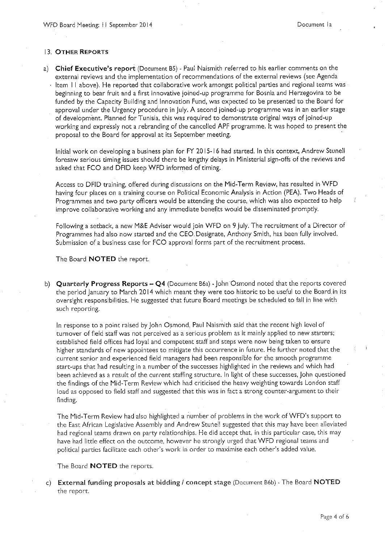#### 13. OTHER REPORTS

a) Chief Executive's report (Document B5) - Paul Naismith referred to his earlier comments on the external reviews and the implementation of recommendations of the external reviews (see Agenda ltem 11 above). He reported that collaborative work amongst political parties and regional teams was beginning to bear fruit and a first innovative joined-up programme for Bosnia and Herzegovina to be funded by the Capacity Building and Innovation Fund, was expected to be presented to the Board for approval under the Urgency procedure in July. A second joined-up programme was in an earlier stage of development. Planned for Tunisia, this was required to demonstrate original ways of joined-up working and expressly not a rebranding of the cancelled APF programme. It was hoped to present the proposal to the Board for approval at its September meeting.

Initial work on developing a business plan for FY 2015-16 had started. In this context, Andrew Stunell foresaw serious timing issues should there be lengthy delays in Ministerial sign-offs of the reviews and asked that FCO and DFID keep WFD informed of timing.

Access to DFID training, offered during discussions on the Mid-Term Review, has resulted in WFD having four places on a training course on Political Economic Analysis in Action (PEA). Two Heads of Programmes and two party officers would be attending the course, which was also expected to help improve collaborative working and any immediate benefits would be disseminated promptly.

Following a setback, a new M&E Adviser would join WFD on 9 July. The recruitment of a Director of Programmes had also now started and the CEO Designate, Anthony Smith, has been fully involved. Submission of a business case for FCO approval forms part of the recruitment process.

The Board **NOTED** the report.

b) Quarterly Progress Reports - Q4 (Document B6a) - John Osmond noted that the reports covered the period January to March 2014 which meant they were too historic to be useful to the Board in its oversight responsibilities. He suggested that future Board meetings be scheduled to fall in line with such reporting.

In response to a point raised by John Osmond, Paul Naismith said that the recent high level of turnover of field staff was not perceived as a serious problem as it mainly applied to new starters; established field offices had loyal and competent staff and steps were now being taken to ensure higher standards of new appointees to mitigate this occurrence in future. He further noted that the current senior and experienced field managers had been responsible for the smooth programme start-ups that had resulting in a number of the successes highlighted in the reviews and which had been achieved as a result of the current staffing structure. In light of these successes, John questioned the findings of the Mid-Term Review which had criticised the heavy weighting towards London staff load as opposed to field staff and suggested that this was in fact a strong counter-argument to their finding.

The Mid-Term Review had also highlighted a number of problems in the work of WFD's support to the East African Legislative Assembly and Andrew Stunell suggested that this may have been alleviated had regional teams drawn on party relationships. He did accept that, in this particular case, this may have had little effect on the outcome, however he strongly urged that WFD regional teams and political parties facilitate each other's work in order to maximise each other's added value.

The Board NOTED the reports.

c) External funding proposals at bidding / concept stage (Document B6b) - The Board NOTED the report.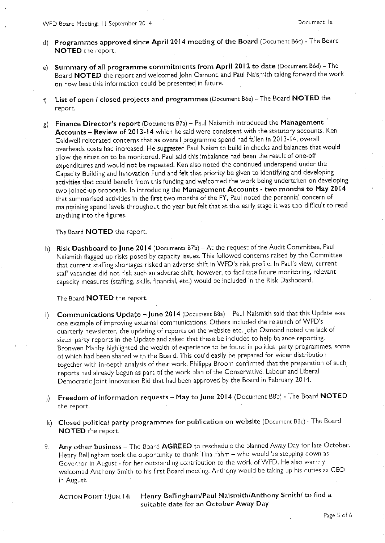- d) Programmes approved since April 2014 meeting of the Board (Document B6c) The Board **NOTED** the report.
- e) Summary of all programme commitments from April 2012 to date (Document B6d) The Board NOTED the report and welcomed John Osmond and Paul Naismith taking forward the work on how best this information could be presented in future.
- List of open / closed projects and programmes (Document B6e) The Board NOTED the  $f$ report.
- g) Finance Director's report (Documents B7a) Paul Naismith introduced the Management Accounts - Review of 2013-14 which he said were consistent with the statutory accounts. Ken Caldwell reiterated concerns that as overall programme spend had fallen in 2013-14, overall overheads costs had increased. He suggested Paul Naismith build in checks and balances that would allow the situation to be monitored. Paul said this imbalance had been the result of one-off expenditures and would not be repeated. Ken also noted the continued underspend under the Capacity Building and Innovation Fund and felt that priority be given to identifying and developing activities that could benefit from this funding and welcomed the work being undertaken on developing two joined-up proposals. In introducing the Management Accounts - two months to May 2014 that summarised activities in the first two months of the FY, Paul noted the perennial concern of maintaining spend levels throughout the year but felt that at this early stage it was too difficult to read anything into the figures.

The Board **NOTED** the report.

h) Risk Dashboard to June 2014 (Documents B7b) - At the request of the Audit Committee, Paul Naismith flagged up risks posed by capacity issues. This followed concerns raised by the Committee that current staffing shortages risked an adverse shift in WFD's risk profile. In Paul's view, current staff vacancies did not risk such an adverse shift, however, to facilitate future monitoring, relevant capacity measures (staffing, skills, financial, etc.) would be included in the Risk Dashboard.

The Board NOTED the report.

- **Communications Update June 2014** (Document B8a) Paul Naismith said that this Update was  $\vert \cdot \rangle$ one example of improving external communications. Others included the relaunch of WFD's quarterly newsletter, the updating of reports on the website etc. John Osmond noted the lack of sister party reports in the Update and asked that these be included to help balance reporting. Bronwen Manby highlighted the wealth of experience to be found in political party programmes, some of which had been shared with the Board. This could easily be prepared for wider distribution together with in-depth analysis of their work. Philippa Broom confirmed that the preparation of such reports had already begun as part of the work plan of the Conservative, Labour and Liberal Democratic Joint Innovation Bid that had been approved by the Board in February 2014.
- j) Freedom of information requests May to June 2014 (Document B8b) The Board NOTED the report.
- k) Closed political party programmes for publication on website (Document B8c) The Board NOTED the report.
- Any other business The Board AGREED to reschedule the planned Away Day for late October. 9. Henry Bellingham took the opportunity to thank Tina Fahm - who would be stepping down as Governor in August - for her outstanding contribution to the work of WFD. He also warmly welcomed Anthony Smith to his first Board meeting. Anthony would be taking up his duties as CEO in August.

**ACTION POINT I/JUN. 14:** 

Henry Bellingham/Paul Naismith/Anthony Smith/ to find a suitable date for an October Away Day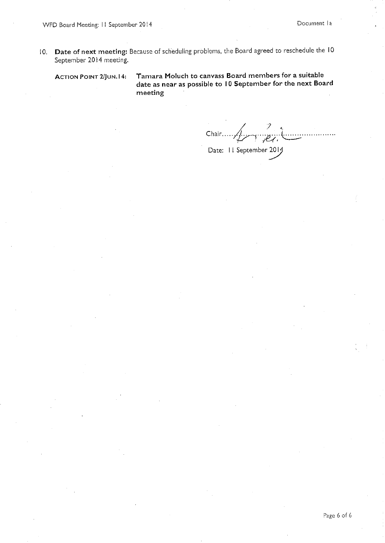Date of next meeting: Because of scheduling problems, the Board agreed to reschedule the 10  $10.$ September 2014 meeting.

**ACTION POINT 2/JUN.14:** 

Tamara Moluch to canvass Board members for a suitable date as near as possible to 10 September for the next Board meeting

Chair  $\overbrace{\qquad \qquad }$ Date: 11 September 2014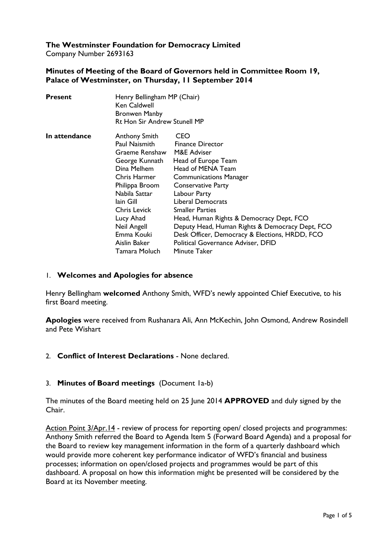# **The Westminster Foundation for Democracy Limited**

Company Number 2693163

### **Minutes of Meeting of the Board of Governors held in Committee Room 19, Palace of Westminster, on Thursday, 11 September 2014**

| <b>Present</b> | Henry Bellingham MP (Chair)<br>Ken Caldwell<br><b>Bronwen Manby</b><br><b>Rt Hon Sir Andrew Stunell MP</b>                                                                                                                                          |                                                                                                                                                                                                                                                                                                                                                                                                                               |
|----------------|-----------------------------------------------------------------------------------------------------------------------------------------------------------------------------------------------------------------------------------------------------|-------------------------------------------------------------------------------------------------------------------------------------------------------------------------------------------------------------------------------------------------------------------------------------------------------------------------------------------------------------------------------------------------------------------------------|
| In attendance  | <b>Anthony Smith</b><br>Paul Naismith<br>Graeme Renshaw<br>George Kunnath<br>Dina Melhem<br>Chris Harmer<br>Philippa Broom<br>Nabila Sattar<br>lain Gill<br>Chris Levick<br>Lucy Ahad<br>Neil Angell<br>Emma Kouki<br>Aislin Baker<br>Tamara Moluch | CEO<br><b>Finance Director</b><br>M&E Adviser<br>Head of Europe Team<br>Head of MENA Team<br><b>Communications Manager</b><br><b>Conservative Party</b><br>Labour Party<br>Liberal Democrats<br><b>Smaller Parties</b><br>Head, Human Rights & Democracy Dept, FCO<br>Deputy Head, Human Rights & Democracy Dept, FCO<br>Desk Officer, Democracy & Elections, HRDD, FCO<br>Political Governance Adviser, DFID<br>Minute Taker |

### 1. **Welcomes and Apologies for absence**

Henry Bellingham **welcomed** Anthony Smith, WFD's newly appointed Chief Executive, to his first Board meeting.

**Apologies** were received from Rushanara Ali, Ann McKechin, John Osmond, Andrew Rosindell and Pete Wishart

### 2. **Conflict of Interest Declarations** - None declared.

### 3. **Minutes of Board meetings** (Document 1a-b)

The minutes of the Board meeting held on 25 June 2014 **APPROVED** and duly signed by the Chair.

Action Point 3/Apr.14 - review of process for reporting open/ closed projects and programmes: Anthony Smith referred the Board to Agenda Item 5 (Forward Board Agenda) and a proposal for the Board to review key management information in the form of a quarterly dashboard which would provide more coherent key performance indicator of WFD's financial and business processes; information on open/closed projects and programmes would be part of this dashboard. A proposal on how this information might be presented will be considered by the Board at its November meeting.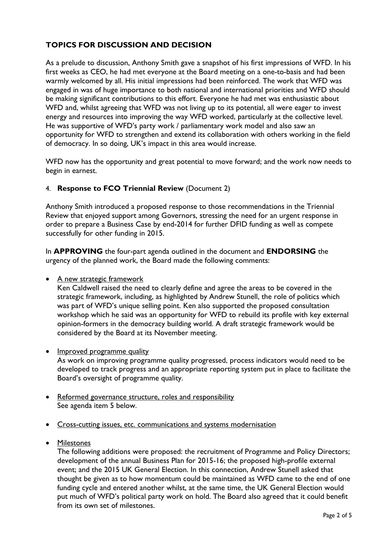# **TOPICS FOR DISCUSSION AND DECISION**

As a prelude to discussion, Anthony Smith gave a snapshot of his first impressions of WFD. In his first weeks as CEO, he had met everyone at the Board meeting on a one-to-basis and had been warmly welcomed by all. His initial impressions had been reinforced. The work that WFD was engaged in was of huge importance to both national and international priorities and WFD should be making significant contributions to this effort. Everyone he had met was enthusiastic about WFD and, whilst agreeing that WFD was not living up to its potential, all were eager to invest energy and resources into improving the way WFD worked, particularly at the collective level. He was supportive of WFD's party work / parliamentary work model and also saw an opportunity for WFD to strengthen and extend its collaboration with others working in the field of democracy. In so doing, UK's impact in this area would increase.

WFD now has the opportunity and great potential to move forward; and the work now needs to begin in earnest.

### 4. **Response to FCO Triennial Review** (Document 2)

Anthony Smith introduced a proposed response to those recommendations in the Triennial Review that enjoyed support among Governors, stressing the need for an urgent response in order to prepare a Business Case by end-2014 for further DFID funding as well as compete successfully for other funding in 2015.

In **APPROVING** the four-part agenda outlined in the document and **ENDORSING** the urgency of the planned work, the Board made the following comments:

#### • A new strategic framework

Ken Caldwell raised the need to clearly define and agree the areas to be covered in the strategic framework, including, as highlighted by Andrew Stunell, the role of politics which was part of WFD's unique selling point. Ken also supported the proposed consultation workshop which he said was an opportunity for WFD to rebuild its profile with key external opinion-formers in the democracy building world. A draft strategic framework would be considered by the Board at its November meeting.

• Improved programme quality

As work on improving programme quality progressed, process indicators would need to be developed to track progress and an appropriate reporting system put in place to facilitate the Board's oversight of programme quality.

- Reformed governance structure, roles and responsibility See agenda item 5 below.
- Cross-cutting issues, etc. communications and systems modernisation
- Milestones

The following additions were proposed: the recruitment of Programme and Policy Directors; development of the annual Business Plan for 2015-16; the proposed high-profile external event; and the 2015 UK General Election. In this connection, Andrew Stunell asked that thought be given as to how momentum could be maintained as WFD came to the end of one funding cycle and entered another whilst, at the same time, the UK General Election would put much of WFD's political party work on hold. The Board also agreed that it could benefit from its own set of milestones.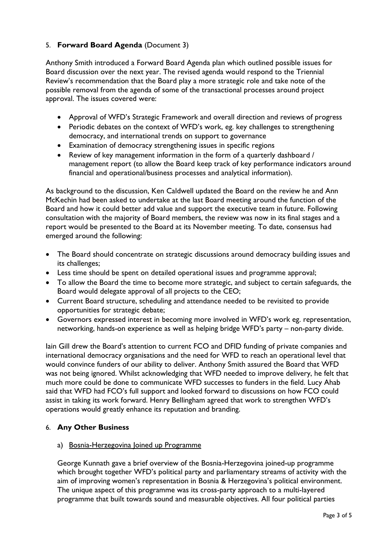## 5. **Forward Board Agenda** (Document 3)

Anthony Smith introduced a Forward Board Agenda plan which outlined possible issues for Board discussion over the next year. The revised agenda would respond to the Triennial Review's recommendation that the Board play a more strategic role and take note of the possible removal from the agenda of some of the transactional processes around project approval. The issues covered were:

- Approval of WFD's Strategic Framework and overall direction and reviews of progress
- Periodic debates on the context of WFD's work, eg. key challenges to strengthening democracy, and international trends on support to governance
- Examination of democracy strengthening issues in specific regions
- Review of key management information in the form of a quarterly dashboard / management report (to allow the Board keep track of key performance indicators around financial and operational/business processes and analytical information).

As background to the discussion, Ken Caldwell updated the Board on the review he and Ann McKechin had been asked to undertake at the last Board meeting around the function of the Board and how it could better add value and support the executive team in future. Following consultation with the majority of Board members, the review was now in its final stages and a report would be presented to the Board at its November meeting. To date, consensus had emerged around the following:

- The Board should concentrate on strategic discussions around democracy building issues and its challenges;
- Less time should be spent on detailed operational issues and programme approval;
- To allow the Board the time to become more strategic, and subject to certain safeguards, the Board would delegate approval of all projects to the CEO;
- Current Board structure, scheduling and attendance needed to be revisited to provide opportunities for strategic debate;
- Governors expressed interest in becoming more involved in WFD's work eg. representation, networking, hands-on experience as well as helping bridge WFD's party – non-party divide.

Iain Gill drew the Board's attention to current FCO and DFID funding of private companies and international democracy organisations and the need for WFD to reach an operational level that would convince funders of our ability to deliver. Anthony Smith assured the Board that WFD was not being ignored. Whilst acknowledging that WFD needed to improve delivery, he felt that much more could be done to communicate WFD successes to funders in the field. Lucy Ahab said that WFD had FCO's full support and looked forward to discussions on how FCO could assist in taking its work forward. Henry Bellingham agreed that work to strengthen WFD's operations would greatly enhance its reputation and branding.

### 6. **Any Other Business**

### a) Bosnia-Herzegovina Joined up Programme

George Kunnath gave a brief overview of the Bosnia-Herzegovina joined-up programme which brought together WFD's political party and parliamentary streams of activity with the aim of improving women's representation in Bosnia & Herzegovina's political environment. The unique aspect of this programme was its cross-party approach to a multi-layered programme that built towards sound and measurable objectives. All four political parties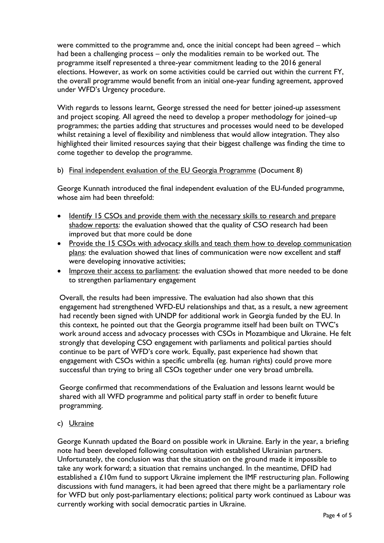were committed to the programme and, once the initial concept had been agreed – which had been a challenging process – only the modalities remain to be worked out. The programme itself represented a three-year commitment leading to the 2016 general elections. However, as work on some activities could be carried out within the current FY, the overall programme would benefit from an initial one-year funding agreement, approved under WFD's Urgency procedure.

With regards to lessons learnt, George stressed the need for better joined-up assessment and project scoping. All agreed the need to develop a proper methodology for joined–up programmes; the parties adding that structures and processes would need to be developed whilst retaining a level of flexibility and nimbleness that would allow integration. They also highlighted their limited resources saying that their biggest challenge was finding the time to come together to develop the programme.

#### b) Final independent evaluation of the EU Georgia Programme (Document 8)

George Kunnath introduced the final independent evaluation of the EU-funded programme, whose aim had been threefold:

- Identify 15 CSOs and provide them with the necessary skills to research and prepare shadow reports: the evaluation showed that the quality of CSO research had been improved but that more could be done
- Provide the 15 CSOs with advocacy skills and teach them how to develop communication plans: the evaluation showed that lines of communication were now excellent and staff were developing innovative activities;
- Improve their access to parliament: the evaluation showed that more needed to be done to strengthen parliamentary engagement

Overall, the results had been impressive. The evaluation had also shown that this engagement had strengthened WFD-EU relationships and that, as a result, a new agreement had recently been signed with UNDP for additional work in Georgia funded by the EU. In this context, he pointed out that the Georgia programme itself had been built on TWC's work around access and advocacy processes with CSOs in Mozambique and Ukraine. He felt strongly that developing CSO engagement with parliaments and political parties should continue to be part of WFD's core work. Equally, past experience had shown that engagement with CSOs within a specific umbrella (eg. human rights) could prove more successful than trying to bring all CSOs together under one very broad umbrella.

George confirmed that recommendations of the Evaluation and lessons learnt would be shared with all WFD programme and political party staff in order to benefit future programming.

c) Ukraine

George Kunnath updated the Board on possible work in Ukraine. Early in the year, a briefing note had been developed following consultation with established Ukrainian partners. Unfortunately, the conclusion was that the situation on the ground made it impossible to take any work forward; a situation that remains unchanged. In the meantime, DFID had established a £10m fund to support Ukraine implement the IMF restructuring plan. Following discussions with fund managers, it had been agreed that there might be a parliamentary role for WFD but only post-parliamentary elections; political party work continued as Labour was currently working with social democratic parties in Ukraine.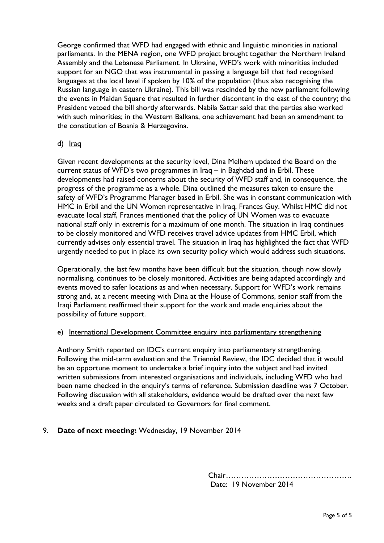George confirmed that WFD had engaged with ethnic and linguistic minorities in national parliaments. In the MENA region, one WFD project brought together the Northern Ireland Assembly and the Lebanese Parliament. In Ukraine, WFD's work with minorities included support for an NGO that was instrumental in passing a language bill that had recognised languages at the local level if spoken by 10% of the population (thus also recognising the Russian language in eastern Ukraine). This bill was rescinded by the new parliament following the events in Maidan Square that resulted in further discontent in the east of the country; the President vetoed the bill shortly afterwards. Nabila Sattar said that the parties also worked with such minorities; in the Western Balkans, one achievement had been an amendment to the constitution of Bosnia & Herzegovina.

#### d) <u>Iraq</u>

Given recent developments at the security level, Dina Melhem updated the Board on the current status of WFD's two programmes in Iraq – in Baghdad and in Erbil. These developments had raised concerns about the security of WFD staff and, in consequence, the progress of the programme as a whole. Dina outlined the measures taken to ensure the safety of WFD's Programme Manager based in Erbil. She was in constant communication with HMC in Erbil and the UN Women representative in Iraq, Frances Guy. Whilst HMC did not evacuate local staff, Frances mentioned that the policy of UN Women was to evacuate national staff only in extremis for a maximum of one month. The situation in Iraq continues to be closely monitored and WFD receives travel advice updates from HMC Erbil, which currently advises only essential travel. The situation in Iraq has highlighted the fact that WFD urgently needed to put in place its own security policy which would address such situations.

Operationally, the last few months have been difficult but the situation, though now slowly normalising, continues to be closely monitored. Activities are being adapted accordingly and events moved to safer locations as and when necessary. Support for WFD's work remains strong and, at a recent meeting with Dina at the House of Commons, senior staff from the Iraqi Parliament reaffirmed their support for the work and made enquiries about the possibility of future support.

#### e) International Development Committee enquiry into parliamentary strengthening

Anthony Smith reported on IDC's current enquiry into parliamentary strengthening. Following the mid-term evaluation and the Triennial Review, the IDC decided that it would be an opportune moment to undertake a brief inquiry into the subject and had invited written submissions from interested organisations and individuals, including WFD who had been name checked in the enquiry's terms of reference. Submission deadline was 7 October. Following discussion with all stakeholders, evidence would be drafted over the next few weeks and a draft paper circulated to Governors for final comment.

### 9. **Date of next meeting:** Wednesday, 19 November 2014

Chair…………………………………………. Date: 19 November 2014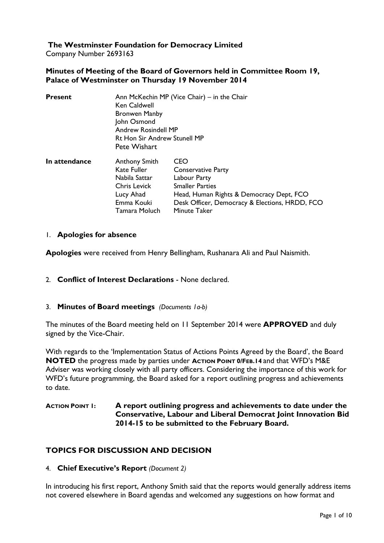# **The Westminster Foundation for Democracy Limited**

Company Number 2693163

#### **Minutes of Meeting of the Board of Governors held in Committee Room 19, Palace of Westminster on Thursday 19 November 2014**

| <b>Present</b> | Ann McKechin MP (Vice Chair) – in the Chair<br>Ken Caldwell<br><b>Bronwen Manby</b><br>John Osmond<br><b>Andrew Rosindell MP</b><br><b>Rt Hon Sir Andrew Stunell MP</b><br>Pete Wishart |                                                                                                                                                                                          |  |
|----------------|-----------------------------------------------------------------------------------------------------------------------------------------------------------------------------------------|------------------------------------------------------------------------------------------------------------------------------------------------------------------------------------------|--|
| In attendance  | <b>Anthony Smith</b><br>Kate Fuller<br>Nabila Sattar<br><b>Chris Levick</b><br>Lucy Ahad<br>Emma Kouki<br>Tamara Moluch                                                                 | CEO<br><b>Conservative Party</b><br>Labour Party<br><b>Smaller Parties</b><br>Head, Human Rights & Democracy Dept, FCO<br>Desk Officer, Democracy & Elections, HRDD, FCO<br>Minute Taker |  |

#### 1. **Apologies for absence**

**Apologies** were received from Henry Bellingham, Rushanara Ali and Paul Naismith.

2. **Conflict of Interest Declarations** - None declared.

#### 3. **Minutes of Board meetings** *(Documents 1a-b)*

The minutes of the Board meeting held on 11 September 2014 were **APPROVED** and duly signed by the Vice-Chair.

With regards to the 'Implementation Status of Actions Points Agreed by the Board', the Board **NOTED** the progress made by parties under **ACTION POINT 0/FEB.14** and that WFD's M&E Adviser was working closely with all party officers. Considering the importance of this work for WFD's future programming, the Board asked for a report outlining progress and achievements to date.

### **ACTION POINT 1: A report outlining progress and achievements to date under the Conservative, Labour and Liberal Democrat Joint Innovation Bid 2014-15 to be submitted to the February Board.**

# **TOPICS FOR DISCUSSION AND DECISION**

#### 4. **Chief Executive's Report** *(Document 2)*

In introducing his first report, Anthony Smith said that the reports would generally address items not covered elsewhere in Board agendas and welcomed any suggestions on how format and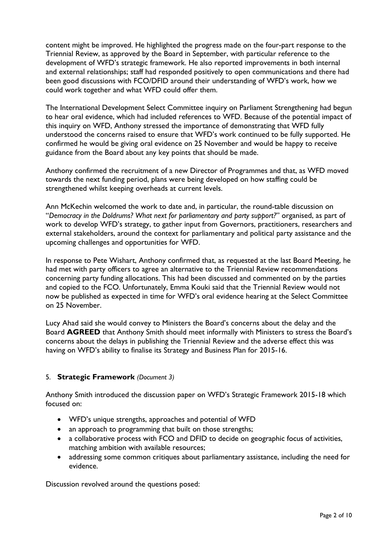content might be improved. He highlighted the progress made on the four-part response to the Triennial Review, as approved by the Board in September, with particular reference to the development of WFD's strategic framework. He also reported improvements in both internal and external relationships; staff had responded positively to open communications and there had been good discussions with FCO/DFID around their understanding of WFD's work, how we could work together and what WFD could offer them.

The International Development Select Committee inquiry on Parliament Strengthening had begun to hear oral evidence, which had included references to WFD. Because of the potential impact of this inquiry on WFD, Anthony stressed the importance of demonstrating that WFD fully understood the concerns raised to ensure that WFD's work continued to be fully supported. He confirmed he would be giving oral evidence on 25 November and would be happy to receive guidance from the Board about any key points that should be made.

Anthony confirmed the recruitment of a new Director of Programmes and that, as WFD moved towards the next funding period, plans were being developed on how staffing could be strengthened whilst keeping overheads at current levels.

Ann McKechin welcomed the work to date and, in particular, the round-table discussion on "*Democracy in the Doldrums? What next for parliamentary and party support?*" organised, as part of work to develop WFD's strategy, to gather input from Governors, practitioners, researchers and external stakeholders, around the context for parliamentary and political party assistance and the upcoming challenges and opportunities for WFD.

In response to Pete Wishart, Anthony confirmed that, as requested at the last Board Meeting, he had met with party officers to agree an alternative to the Triennial Review recommendations concerning party funding allocations. This had been discussed and commented on by the parties and copied to the FCO. Unfortunately, Emma Kouki said that the Triennial Review would not now be published as expected in time for WFD's oral evidence hearing at the Select Committee on 25 November.

Lucy Ahad said she would convey to Ministers the Board's concerns about the delay and the Board **AGREED** that Anthony Smith should meet informally with Ministers to stress the Board's concerns about the delays in publishing the Triennial Review and the adverse effect this was having on WFD's ability to finalise its Strategy and Business Plan for 2015-16.

# 5. **Strategic Framework** *(Document 3)*

Anthony Smith introduced the discussion paper on WFD's Strategic Framework 2015-18 which focused on:

- WFD's unique strengths, approaches and potential of WFD
- an approach to programming that built on those strengths;
- a collaborative process with FCO and DFID to decide on geographic focus of activities, matching ambition with available resources;
- addressing some common critiques about parliamentary assistance, including the need for evidence.

Discussion revolved around the questions posed: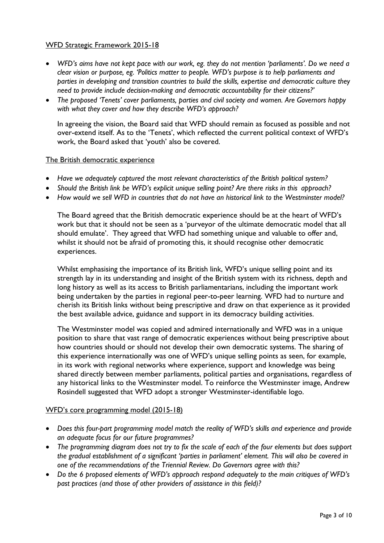#### WFD Strategic Framework 2015-18

- *WFD's aims have not kept pace with our work, eg. they do not mention 'parliaments'. Do we need a clear vision or purpose, eg. 'Politics matter to people. WFD's purpose is to help parliaments and parties in developing and transition countries to build the skills, expertise and democratic culture they need to provide include decision-making and democratic accountability for their citizens?'*
- *The proposed 'Tenets' cover parliaments, parties and civil society and women. Are Governors happy with what they cover and how they describe WFD's approach?*

In agreeing the vision, the Board said that WFD should remain as focused as possible and not over-extend itself. As to the 'Tenets', which reflected the current political context of WFD's work, the Board asked that 'youth' also be covered.

#### The British democratic experience

- *Have we adequately captured the most relevant characteristics of the British political system?*
- *Should the British link be WFD's explicit unique selling point? Are there risks in this approach?*
- *How would we sell WFD in countries that do not have an historical link to the Westminster model?*

The Board agreed that the British democratic experience should be at the heart of WFD's work but that it should not be seen as a 'purveyor of the ultimate democratic model that all should emulate'. They agreed that WFD had something unique and valuable to offer and, whilst it should not be afraid of promoting this, it should recognise other democratic experiences.

Whilst emphasising the importance of its British link, WFD's unique selling point and its strength lay in its understanding and insight of the British system with its richness, depth and long history as well as its access to British parliamentarians, including the important work being undertaken by the parties in regional peer-to-peer learning. WFD had to nurture and cherish its British links without being prescriptive and draw on that experience as it provided the best available advice, guidance and support in its democracy building activities.

The Westminster model was copied and admired internationally and WFD was in a unique position to share that vast range of democratic experiences without being prescriptive about how countries should or should not develop their own democratic systems. The sharing of this experience internationally was one of WFD's unique selling points as seen, for example, in its work with regional networks where experience, support and knowledge was being shared directly between member parliaments, political parties and organisations, regardless of any historical links to the Westminster model. To reinforce the Westminster image, Andrew Rosindell suggested that WFD adopt a stronger Westminster-identifiable logo.

#### WFD's core programming model (2015-18)

- *Does this four-part programming model match the reality of WFD's skills and experience and provide an adequate focus for our future programmes?*
- *The programming diagram does not try to fix the scale of each of the four elements but does support the gradual establishment of a significant 'parties in parliament' element. This will also be covered in one of the recommendations of the Triennial Review. Do Governors agree with this?*
- *Do the 6 proposed elements of WFD's approach respond adequately to the main critiques of WFD's past practices (and those of other providers of assistance in this field)?*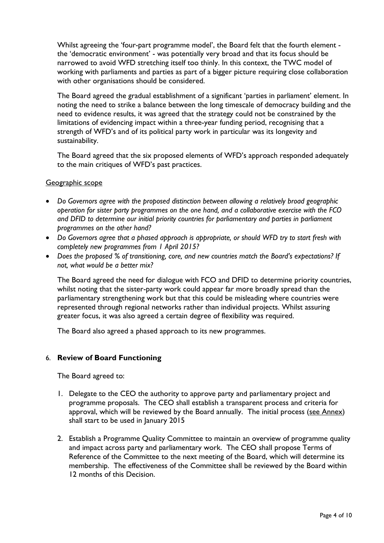Whilst agreeing the 'four-part programme model', the Board felt that the fourth element the 'democratic environment' - was potentially very broad and that its focus should be narrowed to avoid WFD stretching itself too thinly. In this context, the TWC model of working with parliaments and parties as part of a bigger picture requiring close collaboration with other organisations should be considered.

The Board agreed the gradual establishment of a significant 'parties in parliament' element. In noting the need to strike a balance between the long timescale of democracy building and the need to evidence results, it was agreed that the strategy could not be constrained by the limitations of evidencing impact within a three-year funding period, recognising that a strength of WFD's and of its political party work in particular was its longevity and sustainability.

The Board agreed that the six proposed elements of WFD's approach responded adequately to the main critiques of WFD's past practices.

#### Geographic scope

- *Do Governors agree with the proposed distinction between allowing a relatively broad geographic operation for sister party programmes on the one hand, and a collaborative exercise with the FCO and DFID to determine our initial priority countries for parliamentary and parties in parliament programmes on the other hand?*
- *Do Governors agree that a phased approach is appropriate, or should WFD try to start fresh with completely new programmes from 1 April 2015?*
- *Does the proposed % of transitioning, core, and new countries match the Board's expectations? If not, what would be a better mix?*

The Board agreed the need for dialogue with FCO and DFID to determine priority countries, whilst noting that the sister-party work could appear far more broadly spread than the parliamentary strengthening work but that this could be misleading where countries were represented through regional networks rather than individual projects. Whilst assuring greater focus, it was also agreed a certain degree of flexibility was required.

The Board also agreed a phased approach to its new programmes.

### 6. **Review of Board Functioning**

The Board agreed to:

- 1. Delegate to the CEO the authority to approve party and parliamentary project and programme proposals. The CEO shall establish a transparent process and criteria for approval, which will be reviewed by the Board annually. The initial process (see Annex) shall start to be used in January 2015
- 2. Establish a Programme Quality Committee to maintain an overview of programme quality and impact across party and parliamentary work. The CEO shall propose Terms of Reference of the Committee to the next meeting of the Board, which will determine its membership. The effectiveness of the Committee shall be reviewed by the Board within 12 months of this Decision.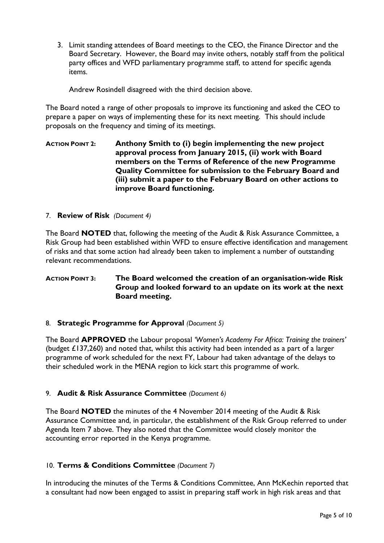3. Limit standing attendees of Board meetings to the CEO, the Finance Director and the Board Secretary. However, the Board may invite others, notably staff from the political party offices and WFD parliamentary programme staff, to attend for specific agenda items.

Andrew Rosindell disagreed with the third decision above.

The Board noted a range of other proposals to improve its functioning and asked the CEO to prepare a paper on ways of implementing these for its next meeting. This should include proposals on the frequency and timing of its meetings.

**ACTION POINT 2: Anthony Smith to (i) begin implementing the new project approval process from January 2015, (ii) work with Board members on the Terms of Reference of the new Programme Quality Committee for submission to the February Board and (iii) submit a paper to the February Board on other actions to improve Board functioning.** 

#### 7. **Review of Risk** *(Document 4)*

The Board **NOTED** that, following the meeting of the Audit & Risk Assurance Committee, a Risk Group had been established within WFD to ensure effective identification and management of risks and that some action had already been taken to implement a number of outstanding relevant recommendations.

### **ACTION POINT 3: The Board welcomed the creation of an organisation-wide Risk Group and looked forward to an update on its work at the next Board meeting.**

#### 8. **Strategic Programme for Approval** *(Document 5)*

The Board **APPROVED** the Labour proposal *'Women's Academy For Africa: Training the trainers'* (budget £137,260) and noted that, whilst this activity had been intended as a part of a larger programme of work scheduled for the next FY, Labour had taken advantage of the delays to their scheduled work in the MENA region to kick start this programme of work.

### 9. **Audit & Risk Assurance Committee** *(Document 6)*

The Board **NOTED** the minutes of the 4 November 2014 meeting of the Audit & Risk Assurance Committee and, in particular, the establishment of the Risk Group referred to under Agenda Item 7 above. They also noted that the Committee would closely monitor the accounting error reported in the Kenya programme.

### 10. **Terms & Conditions Committee** *(Document 7)*

In introducing the minutes of the Terms & Conditions Committee, Ann McKechin reported that a consultant had now been engaged to assist in preparing staff work in high risk areas and that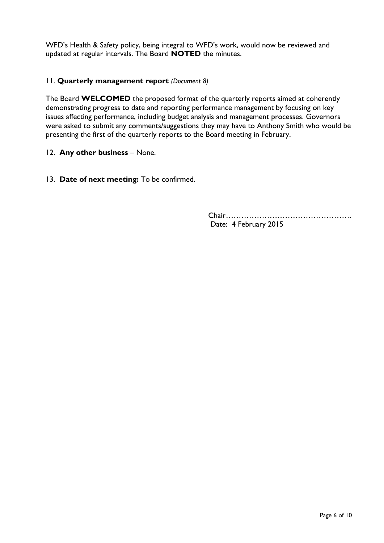WFD's Health & Safety policy, being integral to WFD's work, would now be reviewed and updated at regular intervals. The Board **NOTED** the minutes.

## 11. **Quarterly management report** *(Document 8)*

The Board **WELCOMED** the proposed format of the quarterly reports aimed at coherently demonstrating progress to date and reporting performance management by focusing on key issues affecting performance, including budget analysis and management processes. Governors were asked to submit any comments/suggestions they may have to Anthony Smith who would be presenting the first of the quarterly reports to the Board meeting in February.

### 12. **Any other business** – None.

13. **Date of next meeting:** To be confirmed.

Chair…………………………………………. Date: 4 February 2015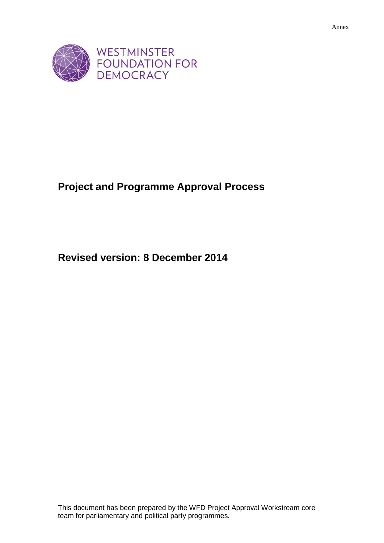

# **Project and Programme Approval Process**

**Revised version: 8 December 2014**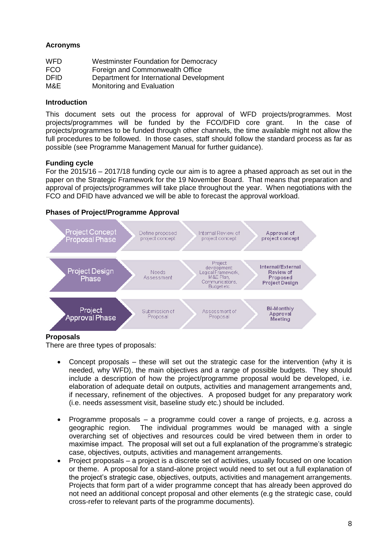### **Acronyms**

| WFD   | <b>Westminster Foundation for Democracy</b> |
|-------|---------------------------------------------|
| FCO.  | Foreign and Commonwealth Office             |
| DFID. | Department for International Development    |
| M&E   | Monitoring and Evaluation                   |

#### **Introduction**

This document sets out the process for approval of WFD projects/programmes. Most projects/programmes will be funded by the FCO/DFID core grant. In the case of projects/programmes to be funded through other channels, the time available might not allow the full procedures to be followed. In those cases, staff should follow the standard process as far as possible (see Programme Management Manual for further guidance).

#### **Funding cycle**

For the 2015/16 – 2017/18 funding cycle our aim is to agree a phased approach as set out in the paper on the Strategic Framework for the 19 November Board. That means that preparation and approval of projects/programmes will take place throughout the year. When negotiations with the FCO and DFID have advanced we will be able to forecast the approval workload.

#### **Phases of Project/Programme Approval**



### **Proposals**

There are three types of proposals:

- Concept proposals these will set out the strategic case for the intervention (why it is needed, why WFD), the main objectives and a range of possible budgets. They should include a description of how the project/programme proposal would be developed, i.e. elaboration of adequate detail on outputs, activities and management arrangements and, if necessary, refinement of the objectives. A proposed budget for any preparatory work (i.e. needs assessment visit, baseline study etc.) should be included.
- Programme proposals a programme could cover a range of projects, e.g. across a geographic region. The individual programmes would be managed with a single overarching set of objectives and resources could be vired between them in order to maximise impact. The proposal will set out a full explanation of the programme's strategic case, objectives, outputs, activities and management arrangements.
- Project proposals a project is a discrete set of activities, usually focused on one location or theme. A proposal for a stand-alone project would need to set out a full explanation of the project's strategic case, objectives, outputs, activities and management arrangements. Projects that form part of a wider programme concept that has already been approved do not need an additional concept proposal and other elements (e.g the strategic case, could cross-refer to relevant parts of the programme documents).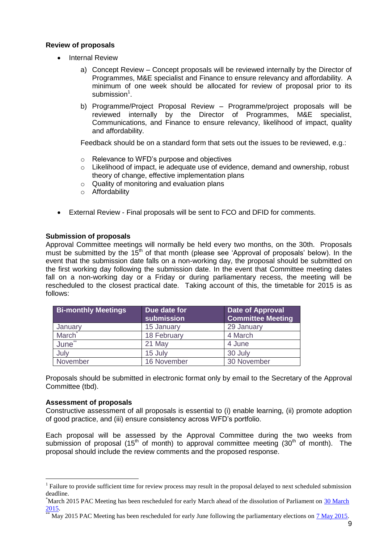### **Review of proposals**

- Internal Review
	- a) Concept Review Concept proposals will be reviewed internally by the Director of Programmes, M&E specialist and Finance to ensure relevancy and affordability. A minimum of one week should be allocated for review of proposal prior to its submission<sup>1</sup>.
	- b) Programme/Project Proposal Review Programme/project proposals will be reviewed internally by the Director of Programmes, M&E specialist, Communications, and Finance to ensure relevancy, likelihood of impact, quality and affordability.

Feedback should be on a standard form that sets out the issues to be reviewed, e.g.:

- o Relevance to WFD's purpose and objectives
- $\circ$  Likelihood of impact, ie adequate use of evidence, demand and ownership, robust theory of change, effective implementation plans
- o Quality of monitoring and evaluation plans
- o Affordability
- External Review Final proposals will be sent to FCO and DFID for comments.

#### **Submission of proposals**

Approval Committee meetings will normally be held every two months, on the 30th. Proposals must be submitted by the  $15<sup>th</sup>$  of that month (please see 'Approval of proposals' below). In the event that the submission date falls on a non-working day, the proposal should be submitted on the first working day following the submission date. In the event that Committee meeting dates fall on a non-working day or a Friday or during parliamentary recess, the meeting will be rescheduled to the closest practical date. Taking account of this, the timetable for 2015 is as follows:

| <b>Bi-monthly Meetings</b> | Due date for<br>submission | Date of Approval<br><b>Committee Meeting</b> |
|----------------------------|----------------------------|----------------------------------------------|
| January                    | 15 January                 | 29 January                                   |
| March                      | 18 February                | 4 March                                      |
| June**                     | 21 May                     | 4 June                                       |
| July                       | 15 July                    | 30 July                                      |
| November                   | 16 November                | 30 November                                  |

Proposals should be submitted in electronic format only by email to the Secretary of the Approval Committee (tbd).

#### **Assessment of proposals**

 $\overline{a}$ 

Constructive assessment of all proposals is essential to (i) enable learning, (ii) promote adoption of good practice, and (iii) ensure consistency across WFD's portfolio.

Each proposal will be assessed by the Approval Committee during the two weeks from submission of proposal (15<sup>th</sup> of month) to approval committee meeting (30<sup>th</sup> of month). The proposal should include the review comments and the proposed response.

 $1$  Failure to provide sufficient time for review process may result in the proposal delayed to next scheduled submission deadline.

<sup>\*</sup>March 2015 PAC Meeting has been rescheduled for early March ahead of the dissolution of Parliament on [30 March](http://www.parliament.uk/about/how/elections-and-voting/general/general-election-timetable-2015/)  [2015.](http://www.parliament.uk/about/how/elections-and-voting/general/general-election-timetable-2015/)

May 2015 PAC Meeting has been rescheduled for early June following the parliamentary elections on [7 May 2015.](http://www.parliament.uk/about/how/elections-and-voting/general/general-election-timetable-2015/)